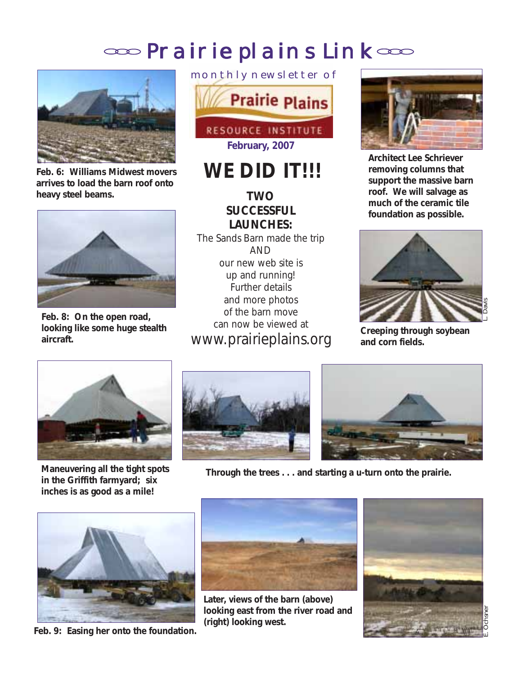# oso Prairie plains Link oso



**Feb. 6: Williams Midwest movers arrives to load the barn roof onto heavy steel beams.**



**Feb. 8: On the open road, looking like some huge stealth aircraft.**



# WE DID **IT!!!**

# **TWO SUCCESSFUL LAUNCHES:**

The Sands Barn made the trip AND our new web site is up and running! Further details and more photos of the barn move can now be viewed at www.prairieplains.org



**Architect Lee Schriever removing columns that support the massive barn roof. We will salvage as much of the ceramic tile foundation as possible.**



**Creeping through soybean and corn fields.**



**inches is as good as a mile!**





**Maneuvering all the tight spots Through the trees . . . and starting a u-turn onto the prairie. in the Griffith farmyard; six**



**Feb. 9: Easing her onto the foundation.**



**Later, views of the barn (above) looking east from the river road and (right) looking west.**